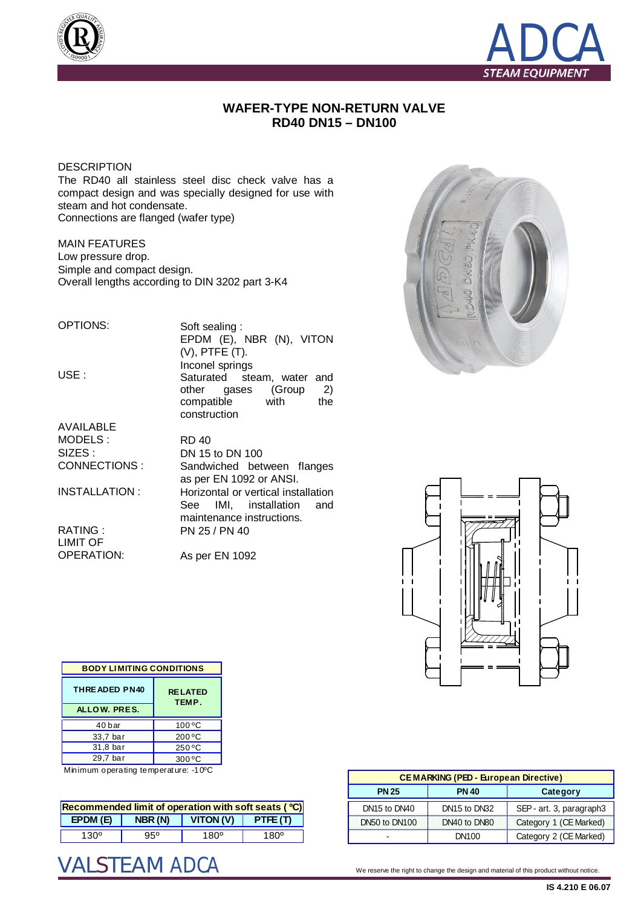



## **WAFER-TYPE NON-RETURN VALVE RD40 DN15 – DN100**

**DESCRIPTION** 

The RD40 all stainless steel disc check valve has a compact design and was specially designed for use with steam and hot condensate. Connections are flanged (wafer type)

MAIN FEATURES Low pressure drop. Simple and compact design. Overall lengths according to DIN 3202 part 3-K4

OPTIONS:

USE :

Soft sealing : EPDM (E), NBR (N), VITON (V), PTFE (T). Inconel springs Saturated steam, water and other gases (Group 2) compatible with the construction

AVAILABLE MODELS : SIZES : CONNECTIONS :

INSTALLATION :

RATING : LIMIT OF OPERATION:

RD 40 DN 15 to DN 100 Sandwiched between flanges as per EN 1092 or ANSI. Horizontal or vertical installation See IMI, installation and maintenance instructions. PN 25 / PN 40

As per EN 1092





| <b>BODY LIMITING CONDITIONS</b> |                         |  |  |  |
|---------------------------------|-------------------------|--|--|--|
| <b>THREADED PN40</b>            | <b>RELATED</b><br>TEMP. |  |  |  |
| ALLOW. PRES.                    |                         |  |  |  |
| 40 bar                          | 100 °C                  |  |  |  |
| 33,7 bar                        | 200 °C                  |  |  |  |
| 31,8 bar                        | 250 °C                  |  |  |  |
| 29.7 bar                        | $300^{\circ}$ C         |  |  |  |

Minimum operating temperature: -10ºC

| Recommended limit of operation with soft seats $(°C)$ |         |          |        |  |  |
|-------------------------------------------------------|---------|----------|--------|--|--|
| E PDM(E)                                              | NBR (N) | VITON(V) | PTE(T) |  |  |
| 130°                                                  | 950     | 1800     | 1800   |  |  |

| <b>CEMARKING (PED - European Directive)</b> |                                      |                          |  |  |  |
|---------------------------------------------|--------------------------------------|--------------------------|--|--|--|
| <b>PN 25</b>                                | <b>PN 40</b>                         | Category                 |  |  |  |
| DN <sub>15</sub> to DN <sub>40</sub>        | DN <sub>15</sub> to DN <sub>32</sub> | SEP - art. 3, paragraph3 |  |  |  |
| DN50 to DN100                               | DN40 to DN80                         | Category 1 (CE Marked)   |  |  |  |
|                                             | DN <sub>100</sub>                    | Category 2 (CE Marked)   |  |  |  |

We reserve the right to change the design and material of this product without notice.